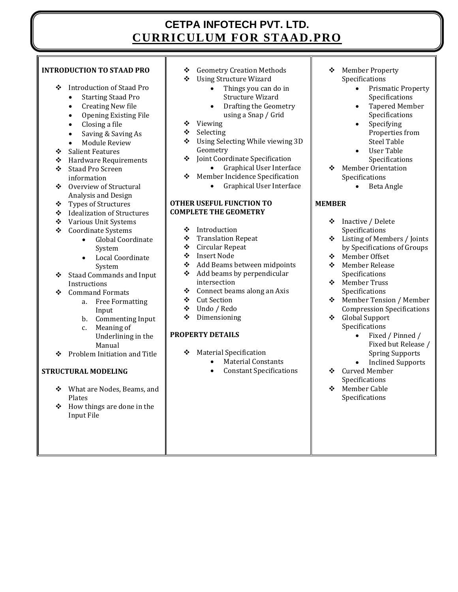# **CETPA INFOTECH PVT. LTD. CURRICULUM FOR STAAD.PRO**

## **INTRODUCTION TO STAAD PRO**

- Introduction of Staad Pro
	- Starting Staad Pro
	- Creating New file
	- Opening Existing File
	- Closing a file
	- Saving & Saving As
	- Module Review
- ❖ Salient Features
- Hardware Requirements
- Staad Pro Screen information
- Overview of Structural Analysis and Design
- Types of Structures
- Idealization of Structures
- Various Unit Systems
- Coordinate Systems
	- Global Coordinate System
	- Local Coordinate System
- Staad Commands and Input Instructions
- Command Formats
	- a. Free Formatting Input
	- b. Commenting Input c. Meaning of Underlining in the
- Manual Problem Initiation and Title

# **STRUCTURAL MODELING**

- What are Nodes, Beams, and Plates
- $\div$  How things are done in the Input File
- Geometry Creation Methods
- Using Structure Wizard
	- Things you can do in Structure Wizard
	- Drafting the Geometry using a Snap / Grid
- Viewing
- Selecting
- Using Selecting While viewing 3D Geometry
- Joint Coordinate Specification
	- Graphical User Interface
- ◆ Member Incidence Specification
	- Graphical User Interface

#### **OTHER USEFUL FUNCTION TO COMPLETE THE GEOMETRY**

- $\div$  Introduction<br> $\div$  Translation F
- Translation Repeat
- Circular Repeat
- Insert Node
- Add Beams between midpoints
- $\div$  Add beams by perpendicular intersection
- $\triangleleft$  Connect beams along an Axis
- ❖ Cut Section
- Undo / Redo
- Dimensioning

# **PROPERTY DETAILS**

- Material Specification
	- Material Constants
	- Constant Specifications
- Member Property Specifications
	- Prismatic Property **Specifications**
	- Tapered Member Specifications
	- Specifying Properties from Steel Table
	- User Table Specifications
- Member Orientation Specifications
	- Beta Angle

# **MEMBER**

- Inactive / Delete Specifications
- Listing of Members / Joints by Specifications of Groups
- Member Offset
- ❖ Member Release Specifications
- Member Truss Specifications
- Member Tension / Member Compression Specifications
- Global Support Specifications
	- Fixed / Pinned / Fixed but Release / Spring Supports
	- Inclined Supports
- Curved Member Specifications
- Member Cable Specifications